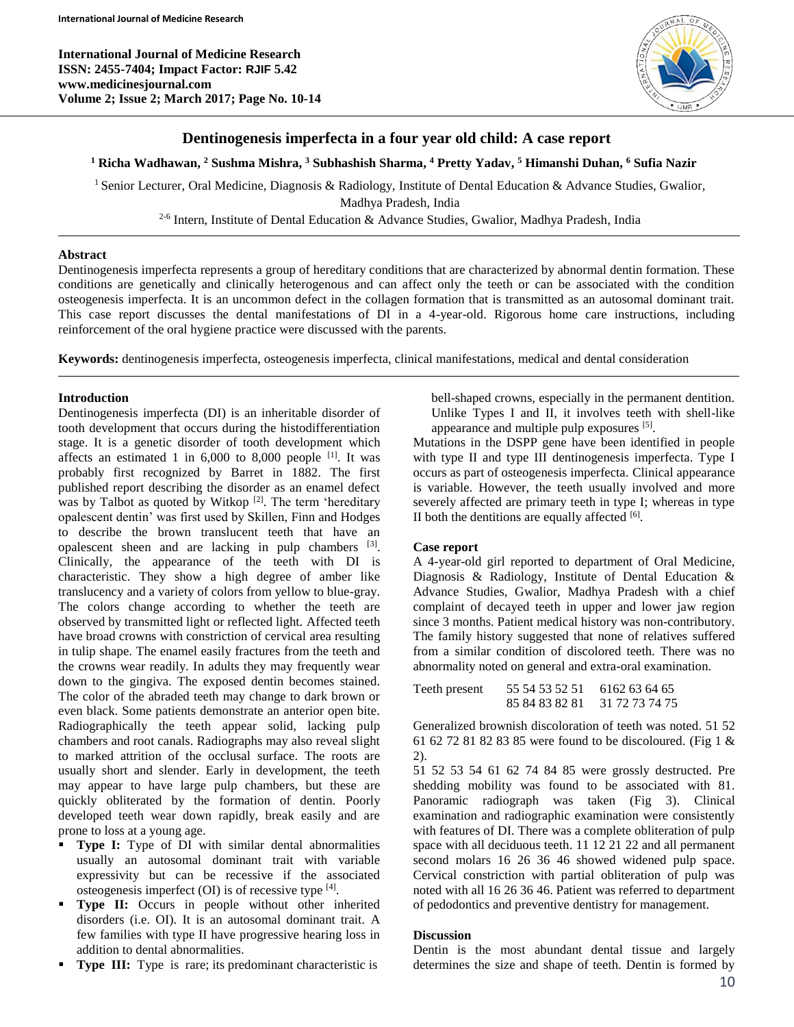**International Journal of Medicine Research ISSN: 2455-7404; Impact Factor: RJIF 5.42 www.medicinesjournal.com Volume 2; Issue 2; March 2017; Page No. 10-14**



# **Dentinogenesis imperfecta in a four year old child: A case report**

### **<sup>1</sup> Richa Wadhawan, <sup>2</sup> Sushma Mishra, <sup>3</sup> Subhashish Sharma, <sup>4</sup> Pretty Yadav, <sup>5</sup> Himanshi Duhan, <sup>6</sup> Sufia Nazir**

<sup>1</sup> Senior Lecturer, Oral Medicine, Diagnosis & Radiology, Institute of Dental Education & Advance Studies, Gwalior, Madhya Pradesh, India

<sup>2-6</sup> Intern, Institute of Dental Education & Advance Studies, Gwalior, Madhya Pradesh, India

#### **Abstract**

Dentinogenesis imperfecta represents a group of hereditary conditions that are characterized by abnormal dentin formation. These conditions are genetically and clinically heterogenous and can affect only the teeth or can be associated with the condition osteogenesis imperfecta. It is an uncommon defect in the collagen formation that is transmitted as an autosomal dominant trait. This case report discusses the dental manifestations of DI in a 4-year-old. Rigorous home care instructions, including reinforcement of the oral hygiene practice were discussed with the parents.

**Keywords:** dentinogenesis imperfecta, osteogenesis imperfecta, clinical manifestations, medical and dental consideration

### **Introduction**

Dentinogenesis imperfecta (DI) is an inheritable disorder of tooth development that occurs during the histodifferentiation stage. It is a genetic disorder of tooth development which affects an estimated 1 in  $6,000$  to  $8,000$  people <sup>[1]</sup>. It was probably first recognized by Barret in 1882. The first published report describing the disorder as an enamel defect was by Talbot as quoted by Witkop<sup>[2]</sup>. The term 'hereditary opalescent dentin' was first used by Skillen, Finn and Hodges to describe the brown translucent teeth that have an opalescent sheen and are lacking in pulp chambers [3]. Clinically, the appearance of the teeth with DI is characteristic. They show a high degree of amber like translucency and a variety of colors from yellow to blue-gray. The colors change according to whether the teeth are observed by transmitted light or reflected light. Affected teeth have broad crowns with constriction of cervical area resulting in tulip shape. The enamel easily fractures from the teeth and the crowns wear readily. In adults they may frequently wear down to the gingiva. The exposed dentin becomes stained. The color of the abraded teeth may change to dark brown or even black. Some patients demonstrate an anterior open bite. Radiographically the teeth appear solid, lacking pulp chambers and root canals. Radiographs may also reveal slight to marked attrition of the occlusal surface. The roots are usually short and slender. Early in development, the teeth may appear to have large pulp chambers, but these are quickly obliterated by the formation of dentin. Poorly developed teeth wear down rapidly, break easily and are prone to loss at a young age.

- **Type I:** Type of DI with similar dental abnormalities usually an autosomal dominant trait with variable expressivity but can be recessive if the associated osteogenesis imperfect (OI) is of recessive type [4].
- **Type II:** Occurs in people without other inherited disorders (i.e. OI). It is an autosomal dominant trait. A few families with type II have progressive hearing loss in addition to dental abnormalities.
- **Type III:** Type is rare; its predominant characteristic is

bell-shaped crowns, especially in the permanent dentition. Unlike Types I and II, it involves teeth with shell-like appearance and multiple pulp exposures [5].

Mutations in the DSPP gene have been identified in people with type II and type III dentinogenesis imperfecta. Type I occurs as part of osteogenesis imperfecta. Clinical appearance is variable. However, the teeth usually involved and more severely affected are primary teeth in type I; whereas in type II both the dentitions are equally affected  $[6]$ .

#### **Case report**

A 4-year-old girl reported to department of Oral Medicine, Diagnosis & Radiology, Institute of Dental Education & Advance Studies, Gwalior, Madhya Pradesh with a chief complaint of decayed teeth in upper and lower jaw region since 3 months. Patient medical history was non-contributory. The family history suggested that none of relatives suffered from a similar condition of discolored teeth. There was no abnormality noted on general and extra-oral examination.

```
Teeth present 55 54 53 52 51 6162 63 64 65
   85 84 83 82 81 31 72 73 74 75
```
Generalized brownish discoloration of teeth was noted. 51 52 61 62 72 81 82 83 85 were found to be discoloured. (Fig 1 & 2).

51 52 53 54 61 62 74 84 85 were grossly destructed. Pre shedding mobility was found to be associated with 81. Panoramic radiograph was taken (Fig 3). Clinical examination and radiographic examination were consistently with features of DI. There was a complete obliteration of pulp space with all deciduous teeth. 11 12 21 22 and all permanent second molars 16 26 36 46 showed widened pulp space. Cervical constriction with partial obliteration of pulp was noted with all 16 26 36 46. Patient was referred to department of pedodontics and preventive dentistry for management.

## **Discussion**

Dentin is the most abundant dental tissue and largely determines the size and shape of teeth. Dentin is formed by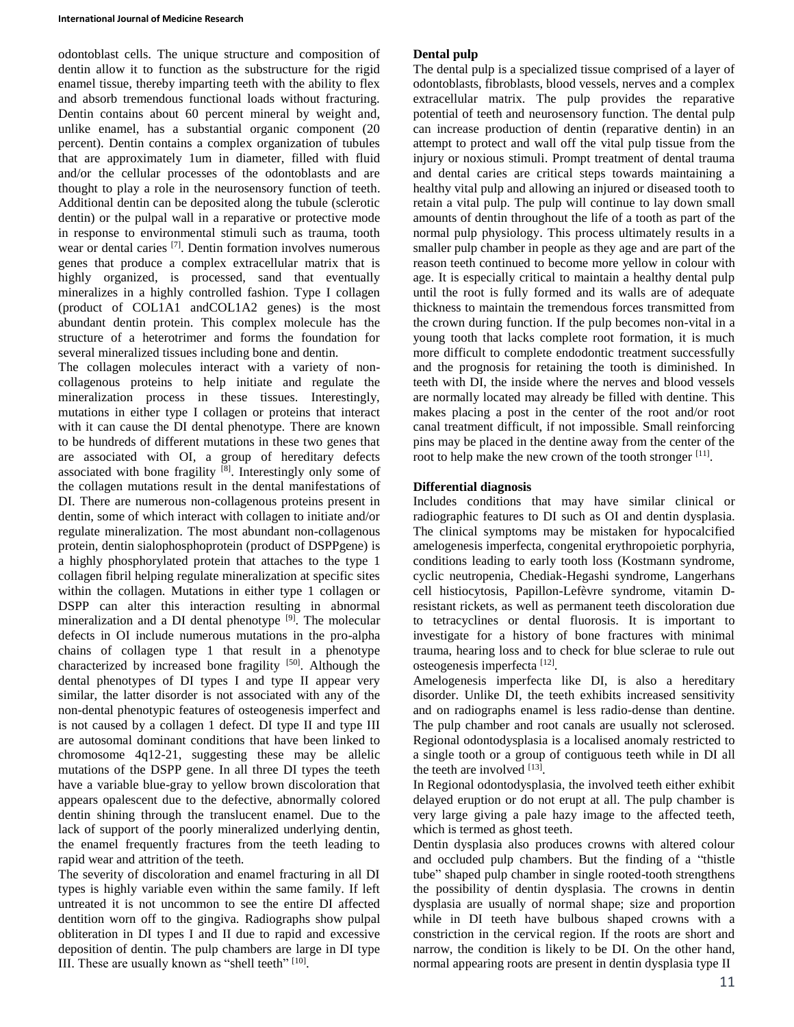odontoblast cells. The unique structure and composition of dentin allow it to function as the substructure for the rigid enamel tissue, thereby imparting teeth with the ability to flex and absorb tremendous functional loads without fracturing. Dentin contains about 60 percent mineral by weight and, unlike enamel, has a substantial organic component (20 percent). Dentin contains a complex organization of tubules that are approximately 1um in diameter, filled with fluid and/or the cellular processes of the odontoblasts and are thought to play a role in the neurosensory function of teeth. Additional dentin can be deposited along the tubule (sclerotic dentin) or the pulpal wall in a reparative or protective mode in response to environmental stimuli such as trauma, tooth wear or dental caries <sup>[7]</sup>. Dentin formation involves numerous genes that produce a complex extracellular matrix that is highly organized, is processed, sand that eventually mineralizes in a highly controlled fashion. Type I collagen (product of COL1A1 andCOL1A2 genes) is the most abundant dentin protein. This complex molecule has the structure of a heterotrimer and forms the foundation for several mineralized tissues including bone and dentin.

The collagen molecules interact with a variety of noncollagenous proteins to help initiate and regulate the mineralization process in these tissues. Interestingly, mutations in either type I collagen or proteins that interact with it can cause the DI dental phenotype. There are known to be hundreds of different mutations in these two genes that are associated with OI, a group of hereditary defects associated with bone fragility  $[8]$ . Interestingly only some of the collagen mutations result in the dental manifestations of DI. There are numerous non-collagenous proteins present in dentin, some of which interact with collagen to initiate and/or regulate mineralization. The most abundant non-collagenous protein, dentin sialophosphoprotein (product of DSPPgene) is a highly phosphorylated protein that attaches to the type 1 collagen fibril helping regulate mineralization at specific sites within the collagen. Mutations in either type 1 collagen or DSPP can alter this interaction resulting in abnormal mineralization and a DI dental phenotype <sup>[9]</sup>. The molecular defects in OI include numerous mutations in the pro-alpha chains of collagen type 1 that result in a phenotype characterized by increased bone fragility  $[50]$ . Although the dental phenotypes of DI types I and type II appear very similar, the latter disorder is not associated with any of the non-dental phenotypic features of osteogenesis imperfect and is not caused by a collagen 1 defect. DI type II and type III are autosomal dominant conditions that have been linked to chromosome 4q12-21, suggesting these may be allelic mutations of the DSPP gene. In all three DI types the teeth have a variable blue-gray to yellow brown discoloration that appears opalescent due to the defective, abnormally colored dentin shining through the translucent enamel. Due to the lack of support of the poorly mineralized underlying dentin, the enamel frequently fractures from the teeth leading to rapid wear and attrition of the teeth.

The severity of discoloration and enamel fracturing in all DI types is highly variable even within the same family. If left untreated it is not uncommon to see the entire DI affected dentition worn off to the gingiva. Radiographs show pulpal obliteration in DI types I and II due to rapid and excessive deposition of dentin. The pulp chambers are large in DI type III. These are usually known as "shell teeth" [10].

# **Dental pulp**

The dental pulp is a specialized tissue comprised of a layer of odontoblasts, fibroblasts, blood vessels, nerves and a complex extracellular matrix. The pulp provides the reparative potential of teeth and neurosensory function. The dental pulp can increase production of dentin (reparative dentin) in an attempt to protect and wall off the vital pulp tissue from the injury or noxious stimuli. Prompt treatment of dental trauma and dental caries are critical steps towards maintaining a healthy vital pulp and allowing an injured or diseased tooth to retain a vital pulp. The pulp will continue to lay down small amounts of dentin throughout the life of a tooth as part of the normal pulp physiology. This process ultimately results in a smaller pulp chamber in people as they age and are part of the reason teeth continued to become more yellow in colour with age. It is especially critical to maintain a healthy dental pulp until the root is fully formed and its walls are of adequate thickness to maintain the tremendous forces transmitted from the crown during function. If the pulp becomes non-vital in a young tooth that lacks complete root formation, it is much more difficult to complete endodontic treatment successfully and the prognosis for retaining the tooth is diminished. In teeth with DI, the inside where the nerves and blood vessels are normally located may already be filled with dentine. This makes placing a post in the center of the root and/or root canal treatment difficult, if not impossible. Small reinforcing pins may be placed in the dentine away from the center of the root to help make the new crown of the tooth stronger [11].

## **Differential diagnosis**

Includes conditions that may have similar clinical or radiographic features to DI such as OI and dentin dysplasia. The clinical symptoms may be mistaken for hypocalcified amelogenesis imperfecta, congenital erythropoietic porphyria, conditions leading to early tooth loss (Kostmann syndrome, cyclic neutropenia, Chediak-Hegashi syndrome, Langerhans cell histiocytosis, Papillon-Lefèvre syndrome, vitamin Dresistant rickets, as well as permanent teeth discoloration due to tetracyclines or dental fluorosis. It is important to investigate for a history of bone fractures with minimal trauma, hearing loss and to check for blue sclerae to rule out osteogenesis imperfecta [12].

Amelogenesis imperfecta like DI, is also a hereditary disorder. Unlike DI, the teeth exhibits increased sensitivity and on radiographs enamel is less radio-dense than dentine. The pulp chamber and root canals are usually not sclerosed. Regional odontodysplasia is a localised anomaly restricted to a single tooth or a group of contiguous teeth while in DI all the teeth are involved  $^{[13]}$ .

In Regional odontodysplasia, the involved teeth either exhibit delayed eruption or do not erupt at all. The pulp chamber is very large giving a pale hazy image to the affected teeth, which is termed as ghost teeth.

Dentin dysplasia also produces crowns with altered colour and occluded pulp chambers. But the finding of a "thistle tube" shaped pulp chamber in single rooted-tooth strengthens the possibility of dentin dysplasia. The crowns in dentin dysplasia are usually of normal shape; size and proportion while in DI teeth have bulbous shaped crowns with a constriction in the cervical region. If the roots are short and narrow, the condition is likely to be DI. On the other hand, normal appearing roots are present in dentin dysplasia type II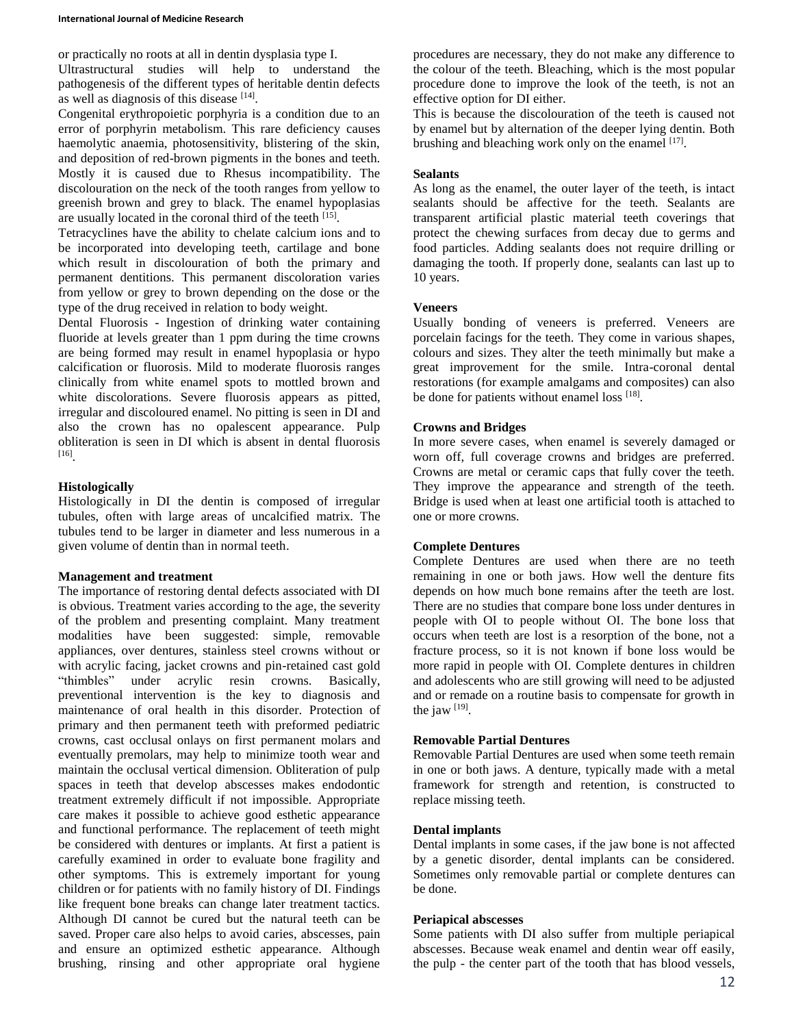or practically no roots at all in dentin dysplasia type I.

Ultrastructural studies will help to understand the pathogenesis of the different types of heritable dentin defects as well as diagnosis of this disease [14].

Congenital erythropoietic porphyria is a condition due to an error of porphyrin metabolism. This rare deficiency causes haemolytic anaemia, photosensitivity, blistering of the skin, and deposition of red-brown pigments in the bones and teeth. Mostly it is caused due to Rhesus incompatibility. The discolouration on the neck of the tooth ranges from yellow to greenish brown and grey to black. The enamel hypoplasias are usually located in the coronal third of the teeth [15].

Tetracyclines have the ability to chelate calcium ions and to be incorporated into developing teeth, cartilage and bone which result in discolouration of both the primary and permanent dentitions. This permanent discoloration varies from yellow or grey to brown depending on the dose or the type of the drug received in relation to body weight.

Dental Fluorosis - Ingestion of drinking water containing fluoride at levels greater than 1 ppm during the time crowns are being formed may result in enamel hypoplasia or hypo calcification or fluorosis. Mild to moderate fluorosis ranges clinically from white enamel spots to mottled brown and white discolorations. Severe fluorosis appears as pitted, irregular and discoloured enamel. No pitting is seen in DI and also the crown has no opalescent appearance. Pulp obliteration is seen in DI which is absent in dental fluorosis [16] .

### **Histologically**

Histologically in DI the dentin is composed of irregular tubules, often with large areas of uncalcified matrix. The tubules tend to be larger in diameter and less numerous in a given volume of dentin than in normal teeth.

## **Management and treatment**

The importance of restoring dental defects associated with DI is obvious. Treatment varies according to the age, the severity of the problem and presenting complaint. Many treatment modalities have been suggested: simple, removable appliances, over dentures, stainless steel crowns without or with acrylic facing, jacket crowns and pin-retained cast gold "thimbles" under acrylic resin crowns. Basically, preventional intervention is the key to diagnosis and maintenance of oral health in this disorder. Protection of primary and then permanent teeth with preformed pediatric crowns, cast occlusal onlays on first permanent molars and eventually premolars, may help to minimize tooth wear and maintain the occlusal vertical dimension. Obliteration of pulp spaces in teeth that develop abscesses makes endodontic treatment extremely difficult if not impossible. Appropriate care makes it possible to achieve good esthetic appearance and functional performance. The replacement of teeth might be considered with dentures or implants. At first a patient is carefully examined in order to evaluate bone fragility and other symptoms. This is extremely important for young children or for patients with no family history of DI. Findings like frequent bone breaks can change later treatment tactics. Although DI cannot be cured but the natural teeth can be saved. Proper care also helps to avoid caries, abscesses, pain and ensure an optimized esthetic appearance. Although brushing, rinsing and other appropriate oral hygiene

procedures are necessary, they do not make any difference to the colour of the teeth. Bleaching, which is the most popular procedure done to improve the look of the teeth, is not an effective option for DI either.

This is because the discolouration of the teeth is caused not by enamel but by alternation of the deeper lying dentin. Both brushing and bleaching work only on the enamel [17].

### **Sealants**

As long as the enamel, the outer layer of the teeth, is intact sealants should be affective for the teeth. Sealants are transparent artificial plastic material teeth coverings that protect the chewing surfaces from decay due to germs and food particles. Adding sealants does not require drilling or damaging the tooth. If properly done, sealants can last up to 10 years.

### **Veneers**

Usually bonding of veneers is preferred. Veneers are porcelain facings for the teeth. They come in various shapes, colours and sizes. They alter the teeth minimally but make a great improvement for the smile. Intra-coronal dental restorations (for example amalgams and composites) can also be done for patients without enamel loss [18].

### **Crowns and Bridges**

In more severe cases, when enamel is severely damaged or worn off, full coverage crowns and bridges are preferred. Crowns are metal or ceramic caps that fully cover the teeth. They improve the appearance and strength of the teeth. Bridge is used when at least one artificial tooth is attached to one or more crowns.

## **Complete Dentures**

Complete Dentures are used when there are no teeth remaining in one or both jaws. How well the denture fits depends on how much bone remains after the teeth are lost. There are no studies that compare bone loss under dentures in people with OI to people without OI. The bone loss that occurs when teeth are lost is a resorption of the bone, not a fracture process, so it is not known if bone loss would be more rapid in people with OI. Complete dentures in children and adolescents who are still growing will need to be adjusted and or remade on a routine basis to compensate for growth in the jaw  $^{[19]}$ .

## **Removable Partial Dentures**

Removable Partial Dentures are used when some teeth remain in one or both jaws. A denture, typically made with a metal framework for strength and retention, is constructed to replace missing teeth.

### **Dental implants**

Dental implants in some cases, if the jaw bone is not affected by a genetic disorder, dental implants can be considered. Sometimes only removable partial or complete dentures can be done.

#### **Periapical abscesses**

Some patients with DI also suffer from multiple periapical abscesses. Because weak enamel and dentin wear off easily, the pulp - the center part of the tooth that has blood vessels,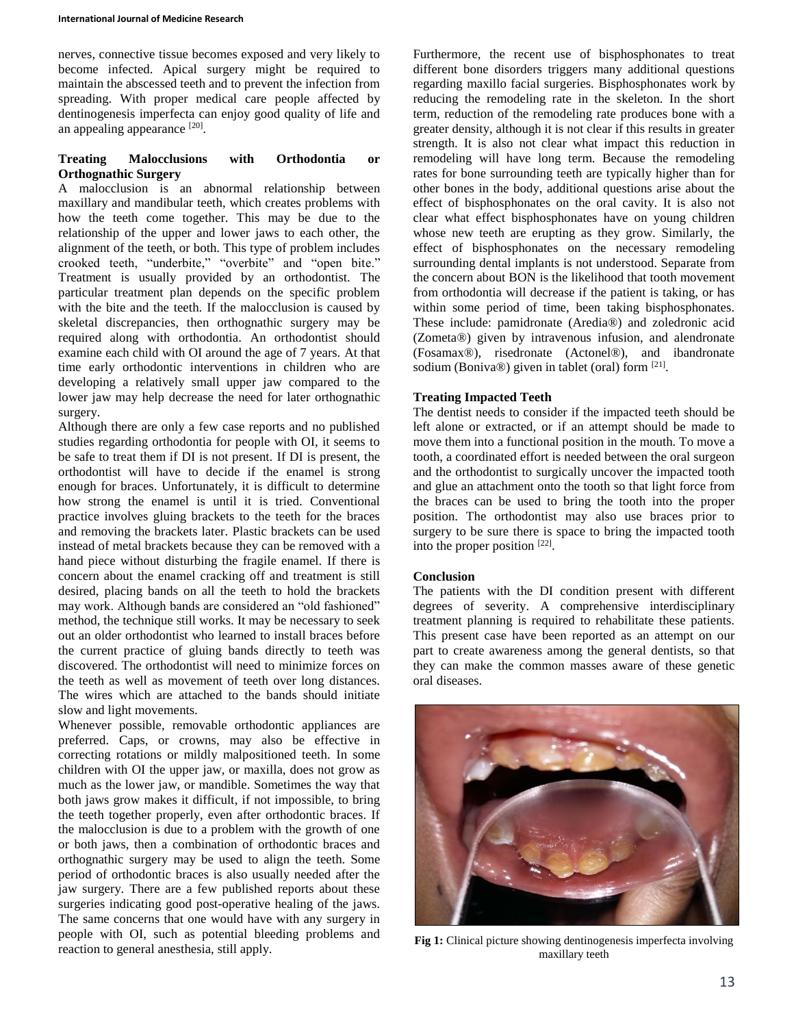nerves, connective tissue becomes exposed and very likely to become infected. Apical surgery might be required to maintain the abscessed teeth and to prevent the infection from spreading. With proper medical care people affected by dentinogenesis imperfecta can enjoy good quality of life and an appealing appearance [20].

## **Treating Malocclusions with Orthodontia or Orthognathic Surgery**

A malocclusion is an abnormal relationship between maxillary and mandibular teeth, which creates problems with how the teeth come together. This may be due to the relationship of the upper and lower jaws to each other, the alignment of the teeth, or both. This type of problem includes crooked teeth, "underbite," "overbite" and "open bite." Treatment is usually provided by an orthodontist. The particular treatment plan depends on the specific problem with the bite and the teeth. If the malocclusion is caused by skeletal discrepancies, then orthognathic surgery may be required along with orthodontia. An orthodontist should examine each child with OI around the age of 7 years. At that time early orthodontic interventions in children who are developing a relatively small upper jaw compared to the lower jaw may help decrease the need for later orthognathic surgery.

Although there are only a few case reports and no published studies regarding orthodontia for people with OI, it seems to be safe to treat them if DI is not present. If DI is present, the orthodontist will have to decide if the enamel is strong enough for braces. Unfortunately, it is difficult to determine how strong the enamel is until it is tried. Conventional practice involves gluing brackets to the teeth for the braces and removing the brackets later. Plastic brackets can be used instead of metal brackets because they can be removed with a hand piece without disturbing the fragile enamel. If there is concern about the enamel cracking off and treatment is still desired, placing bands on all the teeth to hold the brackets may work. Although bands are considered an "old fashioned" method, the technique still works. It may be necessary to seek out an older orthodontist who learned to install braces before the current practice of gluing bands directly to teeth was discovered. The orthodontist will need to minimize forces on the teeth as well as movement of teeth over long distances. The wires which are attached to the bands should initiate slow and light movements.

Whenever possible, removable orthodontic appliances are preferred. Caps, or crowns, may also be effective in correcting rotations or mildly malpositioned teeth. In some children with OI the upper jaw, or maxilla, does not grow as much as the lower jaw, or mandible. Sometimes the way that both jaws grow makes it difficult, if not impossible, to bring the teeth together properly, even after orthodontic braces. If the malocclusion is due to a problem with the growth of one or both jaws, then a combination of orthodontic braces and orthognathic surgery may be used to align the teeth. Some period of orthodontic braces is also usually needed after the jaw surgery. There are a few published reports about these surgeries indicating good post-operative healing of the jaws. The same concerns that one would have with any surgery in people with OI, such as potential bleeding problems and reaction to general anesthesia, still apply.

Furthermore, the recent use of bisphosphonates to treat different bone disorders triggers many additional questions regarding maxillo facial surgeries. Bisphosphonates work by reducing the remodeling rate in the skeleton. In the short term, reduction of the remodeling rate produces bone with a greater density, although it is not clear if this results in greater strength. It is also not clear what impact this reduction in remodeling will have long term. Because the remodeling rates for bone surrounding teeth are typically higher than for other bones in the body, additional questions arise about the effect of bisphosphonates on the oral cavity. It is also not clear what effect bisphosphonates have on young children whose new teeth are erupting as they grow. Similarly, the effect of bisphosphonates on the necessary remodeling surrounding dental implants is not understood. Separate from the concern about BON is the likelihood that tooth movement from orthodontia will decrease if the patient is taking, or has within some period of time, been taking bisphosphonates. These include: pamidronate (Aredia®) and zoledronic acid (Zometa®) given by intravenous infusion, and alendronate (Fosamax®), risedronate (Actonel®), and ibandronate sodium (Boniva®) given in tablet (oral) form [21].

# **Treating Impacted Teeth**

The dentist needs to consider if the impacted teeth should be left alone or extracted, or if an attempt should be made to move them into a functional position in the mouth. To move a tooth, a coordinated effort is needed between the oral surgeon and the orthodontist to surgically uncover the impacted tooth and glue an attachment onto the tooth so that light force from the braces can be used to bring the tooth into the proper position. The orthodontist may also use braces prior to surgery to be sure there is space to bring the impacted tooth into the proper position [22].

## **Conclusion**

The patients with the DI condition present with different degrees of severity. A comprehensive interdisciplinary treatment planning is required to rehabilitate these patients. This present case have been reported as an attempt on our part to create awareness among the general dentists, so that they can make the common masses aware of these genetic oral diseases.



**Fig 1:** Clinical picture showing dentinogenesis imperfecta involving maxillary teeth